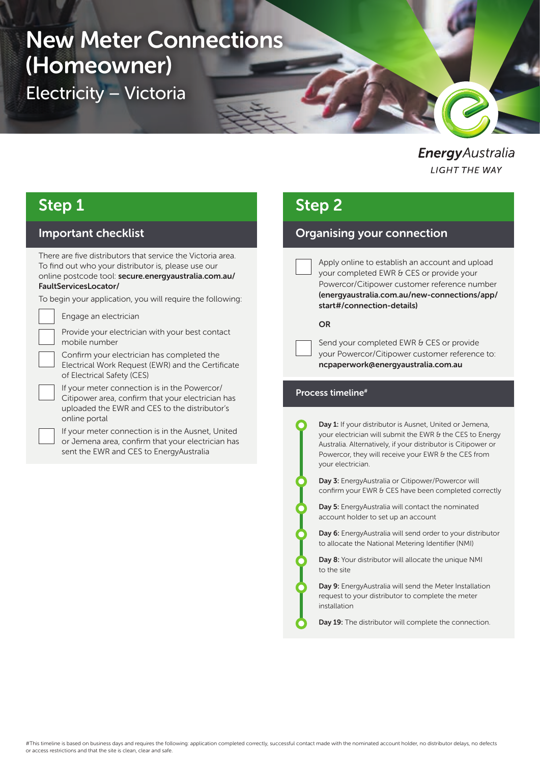# New Meter Connections (Homeowner)

Electricity – Victoria

**Energy** Australia **LIGHT THE WAY** 

# Step 1

### Important checklist

There are five distributors that service the Victoria area. To find out who your distributor is, please use our online postcode tool: secure.energyaustralia.com.au/ FaultServicesLocator/

To begin your application, you will require the following:

Engage an electrician

Provide your electrician with your best contact mobile number

Confirm your electrician has completed the Electrical Work Request (EWR) and the Certificate of Electrical Safety (CES)

If your meter connection is in the Powercor/ Citipower area, confirm that your electrician has uploaded the EWR and CES to the distributor's online portal

If your meter connection is in the Ausnet, United or Jemena area, confirm that your electrician has sent the EWR and CES to EnergyAustralia

# Step 2

### Organising your connection

Apply online to establish an account and upload your completed EWR & CES or provide your Powercor/Citipower customer reference number (energyaustralia.com.au/new-connections/app/ start#/connection-details)

#### OR

Send your completed EWR & CES or provide your Powercor/Citipower customer reference to: ncpaperwork@energyaustralia.com.au

#### Process timeline#

Day 1: If your distributor is Ausnet, United or Jemena, your electrician will submit the EWR & the CES to Energy Australia. Alternatively, if your distributor is Citipower or Powercor, they will receive your EWR & the CES from your electrician.

Day 3: EnergyAustralia or Citipower/Powercor will confirm your EWR & CES have been completed correctly

Day 5: EnergyAustralia will contact the nominated account holder to set up an account

Day 6: EnergyAustralia will send order to your distributor to allocate the National Metering Identifier (NMI)

Day 8: Your distributor will allocate the unique NMI to the site

Day 9: EnergyAustralia will send the Meter Installation request to your distributor to complete the meter installation

Day 19: The distributor will complete the connection.